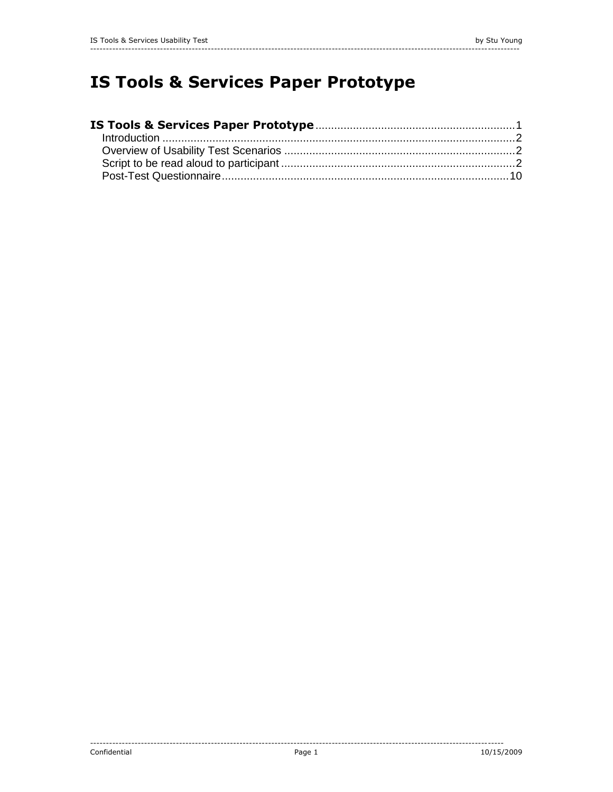# <span id="page-0-0"></span>**IS Tools & Services Paper Prototype**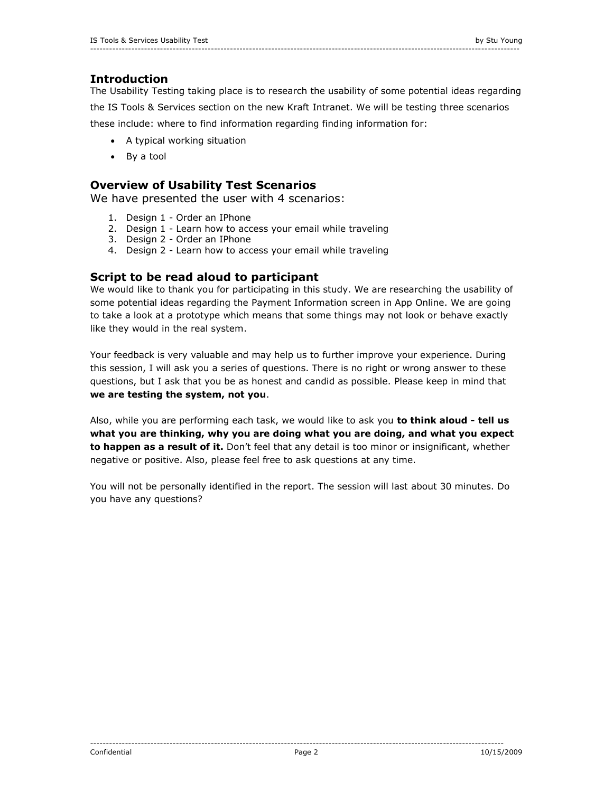# <span id="page-1-0"></span>**Introduction**

The Usability Testing taking place is to research the usability of some potential ideas regarding the IS Tools & Services section on the new Kraft Intranet. We will be testing three scenarios these include: where to find information regarding finding information for:

- A typical working situation
- By a tool

# <span id="page-1-1"></span>**Overview of Usability Test Scenarios**

We have presented the user with 4 scenarios:

- 1. Design 1 Order an IPhone
- 2. Design 1 Learn how to access your email while traveling
- 3. Design 2 Order an IPhone
- 4. Design 2 Learn how to access your email while traveling

## <span id="page-1-2"></span>**Script to be read aloud to participant**

We would like to thank you for participating in this study. We are researching the usability of some potential ideas regarding the Payment Information screen in App Online. We are going to take a look at a prototype which means that some things may not look or behave exactly like they would in the real system.

Your feedback is very valuable and may help us to further improve your experience. During this session, I will ask you a series of questions. There is no right or wrong answer to these questions, but I ask that you be as honest and candid as possible. Please keep in mind that **we are testing the system, not you**.

Also, while you are performing each task, we would like to ask you **to think aloud - tell us what you are thinking, why you are doing what you are doing, and what you expect to happen as a result of it.** Don't feel that any detail is too minor or insignificant, whether negative or positive. Also, please feel free to ask questions at any time.

You will not be personally identified in the report. The session will last about 30 minutes. Do you have any questions?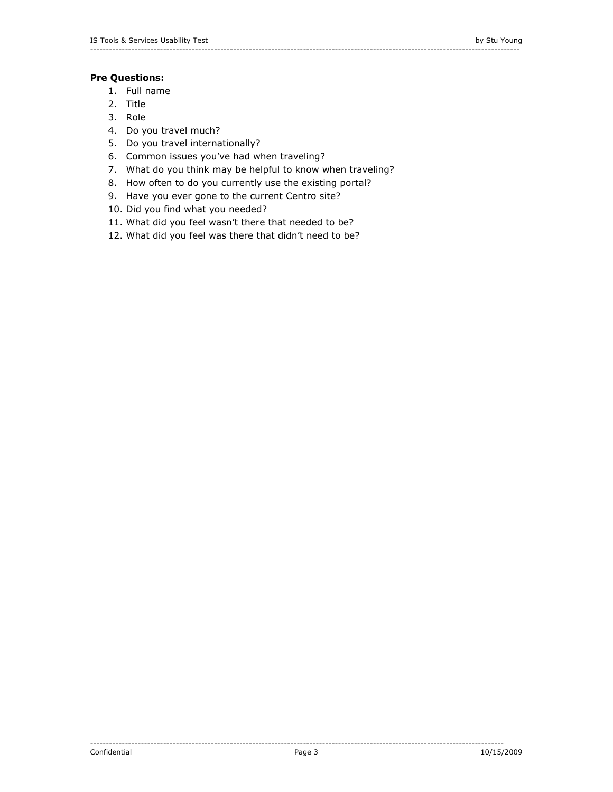## **Pre Questions:**

- 1. Full name
- 2. Title
- 3. Role
- 4. Do you travel much?
- 5. Do you travel internationally?
- 6. Common issues you've had when traveling?
- 7. What do you think may be helpful to know when traveling?
- 8. How often to do you currently use the existing portal?
- 9. Have you ever gone to the current Centro site?
- 10. Did you find what you needed?
- 11. What did you feel wasn't there that needed to be?
- 12. What did you feel was there that didn't need to be?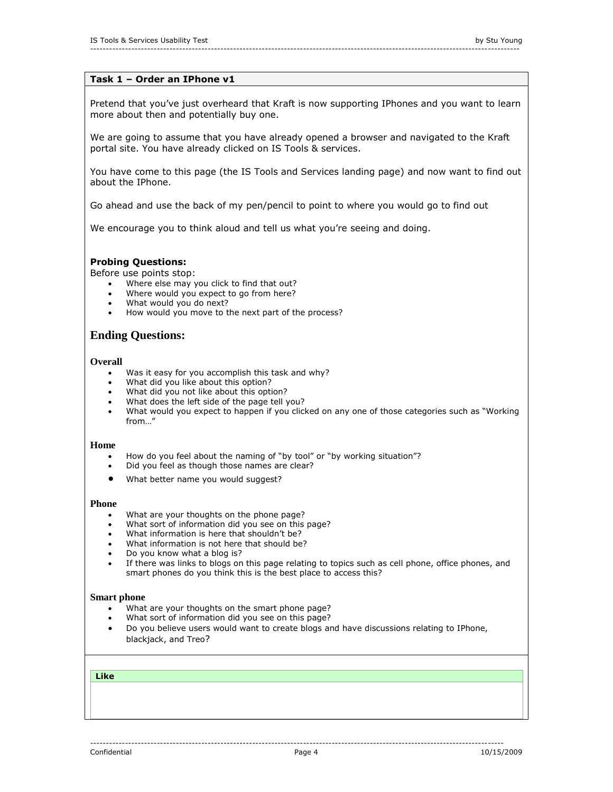## **Task 1 – Order an IPhone v1**

Pretend that you've just overheard that Kraft is now supporting IPhones and you want to learn more about then and potentially buy one.

We are going to assume that you have already opened a browser and navigated to the Kraft portal site. You have already clicked on IS Tools & services.

You have come to this page (the IS Tools and Services landing page) and now want to find out about the IPhone.

Go ahead and use the back of my pen/pencil to point to where you would go to find out

We encourage you to think aloud and tell us what you're seeing and doing.

## **Probing Questions:**

Before use points stop:

- Where else may you click to find that out?
- Where would you expect to go from here?
- What would you do next?
- How would you move to the next part of the process?

# **Ending Questions:**

### **Overall**

- Was it easy for you accomplish this task and why?
- What did you like about this option?
- What did you not like about this option?
- What does the left side of the page tell you?
- What would you expect to happen if you clicked on any one of those categories such as "Working from "

#### **Home**

- How do you feel about the naming of "by tool" or "by working situation"?
- Did you feel as though those names are clear?
- What better name you would suggest?

#### **Phone**

- What are your thoughts on the phone page?
- What sort of information did you see on this page?
- $\bullet$  What information is here that shouldn't be?
- What information is not here that should be?
- Do you know what a blog is?
- If there was links to blogs on this page relating to topics such as cell phone, office phones, and smart phones do you think this is the best place to access this?

#### **Smart phone**

- What are your thoughts on the smart phone page?
- What sort of information did you see on this page?
- Do you believe users would want to create blogs and have discussions relating to IPhone, blackjack, and Treo?

#### **Like**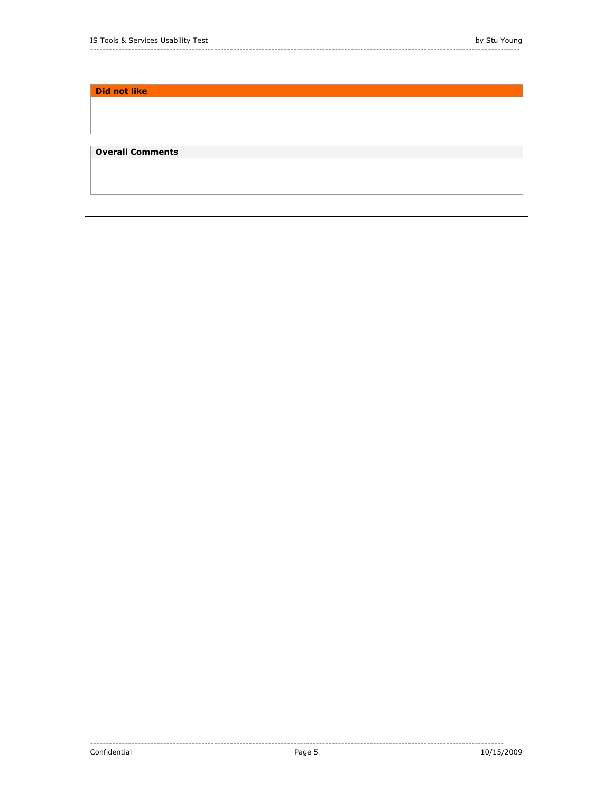| <b>Did not like</b>     |  |  |
|-------------------------|--|--|
|                         |  |  |
|                         |  |  |
|                         |  |  |
|                         |  |  |
| <b>Overall Comments</b> |  |  |
|                         |  |  |
|                         |  |  |
|                         |  |  |
|                         |  |  |
|                         |  |  |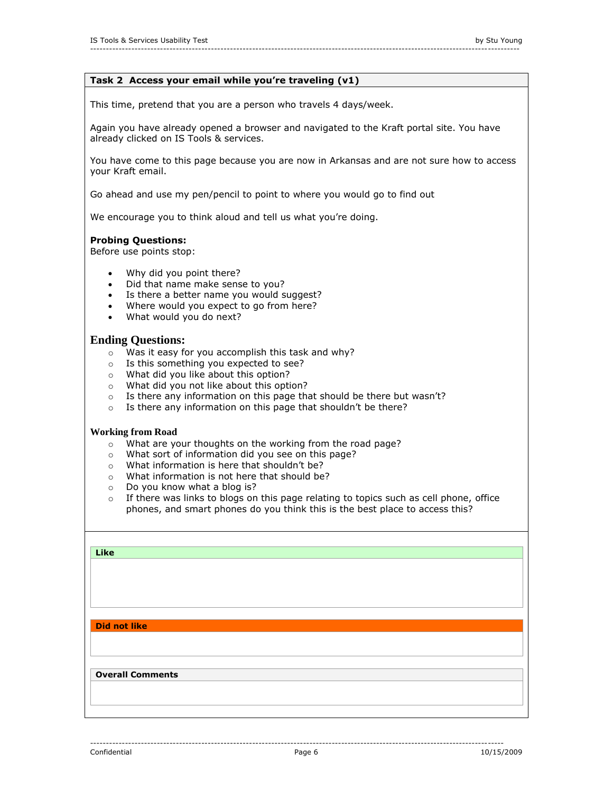## **Task 2 Access your email while you're traveling (v1)**

This time, pretend that you are a person who travels 4 days/week.

Again you have already opened a browser and navigated to the Kraft portal site. You have already clicked on IS Tools & services.

You have come to this page because you are now in Arkansas and are not sure how to access your Kraft email.

Go ahead and use my pen/pencil to point to where you would go to find out

We encourage you to think aloud and tell us what you're doing.

## **Probing Questions:**

Before use points stop:

- Why did you point there?
- Did that name make sense to you?<br>• Is there a better name you would s
- Is there a better name you would suggest?
- Where would you expect to go from here?
- What would you do next?

## **Ending Questions:**

- o Was it easy for you accomplish this task and why?
- o Is this something you expected to see?
- o What did you like about this option?
- o What did you not like about this option?
- o Is there any information on this page that should be there but wasn't?
- o Is there any information on this page that shouldn't be there?

#### **Working from Road**

- o What are your thoughts on the working from the road page?
- o What sort of information did you see on this page?
- o What information is here that shouldn't be?
- o What information is not here that should be?
- o Do you know what a blog is?
- $\circ$  If there was links to blogs on this page relating to topics such as cell phone, office phones, and smart phones do you think this is the best place to access this?

| Like                    |  |  |
|-------------------------|--|--|
|                         |  |  |
|                         |  |  |
|                         |  |  |
|                         |  |  |
|                         |  |  |
|                         |  |  |
| <b>Did not like</b>     |  |  |
|                         |  |  |
|                         |  |  |
|                         |  |  |
| <b>Overall Comments</b> |  |  |
|                         |  |  |
|                         |  |  |
|                         |  |  |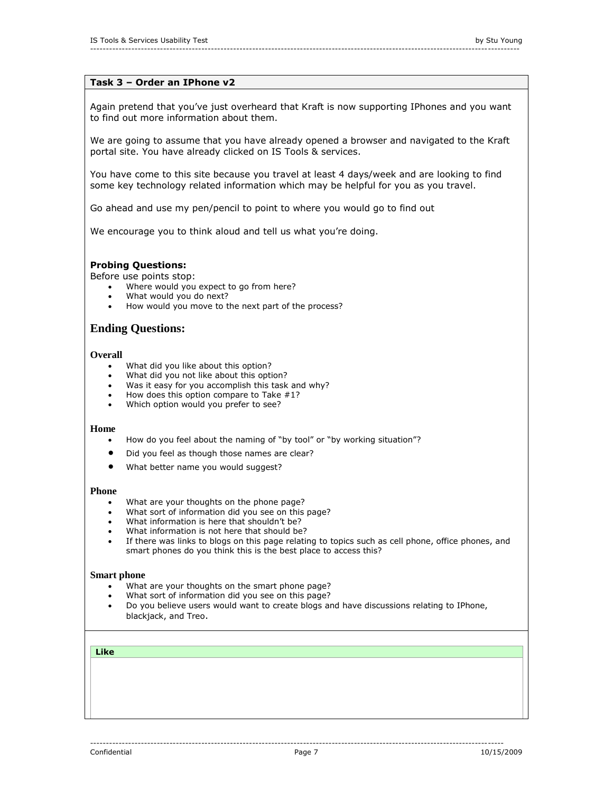## **Task 3 – Order an IPhone v2**

Again pretend that you've just overheard that Kraft is now supporting IPhones and you want to find out more information about them.

We are going to assume that you have already opened a browser and navigated to the Kraft portal site. You have already clicked on IS Tools & services.

You have come to this site because you travel at least 4 days/week and are looking to find some key technology related information which may be helpful for you as you travel.

Go ahead and use my pen/pencil to point to where you would go to find out

We encourage you to think aloud and tell us what you're doing.

## **Probing Questions:**

Before use points stop:

- Where would you expect to go from here?
- What would you do next?
- How would you move to the next part of the process?

## **Ending Questions:**

## **Overall**

- What did you like about this option?
- What did you not like about this option?
- Was it easy for you accomplish this task and why?
- $\bullet$  How does this option compare to Take #1?
- Which option would you prefer to see?

## **Home**

- How do you feel about the naming of "by tool" or "by working situation"?
- $\bullet$  Did you feel as though those names are clear?
- What better name you would suggest?

## **Phone**

- What are your thoughts on the phone page?
- What sort of information did you see on this page?
- What information is here that shouldn't be?
- What information is not here that should be?
- If there was links to blogs on this page relating to topics such as cell phone, office phones, and smart phones do you think this is the best place to access this?

#### **Smart phone**

- What are your thoughts on the smart phone page?
- What sort of information did you see on this page?
- Do you believe users would want to create blogs and have discussions relating to IPhone, blackjack, and Treo.

#### **Like**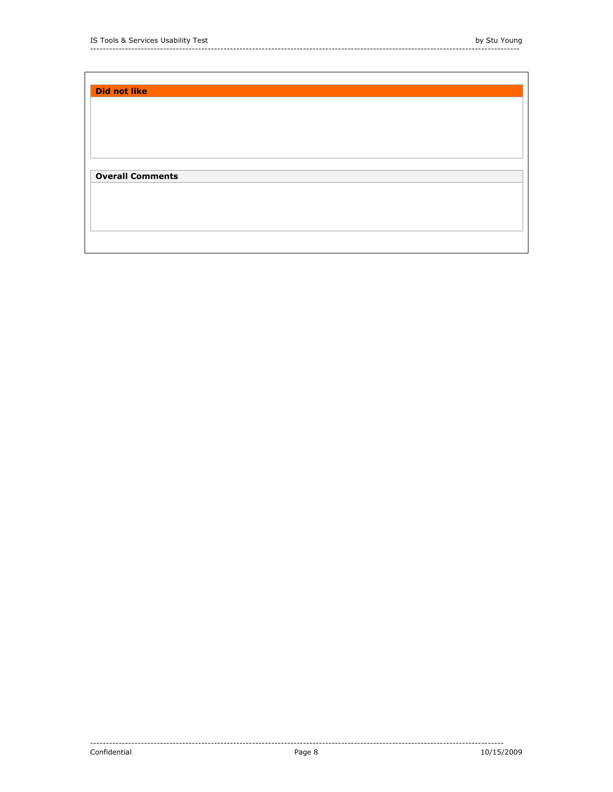| <b>Did not like</b>     |  |  |
|-------------------------|--|--|
|                         |  |  |
|                         |  |  |
|                         |  |  |
| <b>Overall Comments</b> |  |  |
|                         |  |  |
|                         |  |  |
|                         |  |  |
|                         |  |  |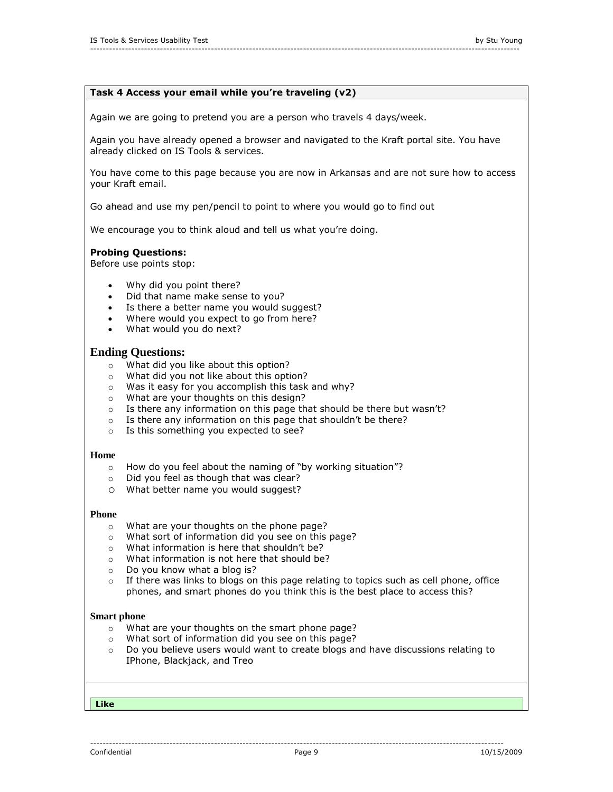## **Task 4 Access your email while you're traveling (v2)**

---------------------------------------------------------------------------------------------------------------------------------------

Again we are going to pretend you are a person who travels 4 days/week.

Again you have already opened a browser and navigated to the Kraft portal site. You have already clicked on IS Tools & services.

You have come to this page because you are now in Arkansas and are not sure how to access your Kraft email.

Go ahead and use my pen/pencil to point to where you would go to find out

We encourage you to think aloud and tell us what you're doing.

## **Probing Questions:**

Before use points stop:

- Why did you point there?
- Did that name make sense to you?
- Is there a better name you would suggest?
- Where would you expect to go from here?
- What would you do next?

## **Ending Questions:**

- o What did you like about this option?
- o What did you not like about this option?
- o Was it easy for you accomplish this task and why?
- o What are your thoughts on this design?
- $\circ$  Is there any information on this page that should be there but wasn't?
- $\circ$  Is there any information on this page that shouldn't be there?
- o Is this something you expected to see?

#### **Home**

- o How do you feel about the naming of "by working situation"?
- o Did you feel as though that was clear?
- o What better name you would suggest?

## **Phone**

- o What are your thoughts on the phone page?
- o What sort of information did you see on this page?
- o What information is here that shouldn't be?
- o What information is not here that should be?
- 
- o Do you know what a blog is?<br>
o If there was links to blogs on If there was links to blogs on this page relating to topics such as cell phone, office phones, and smart phones do you think this is the best place to access this?

#### **Smart phone**

- o What are your thoughts on the smart phone page?
- o What sort of information did you see on this page?
- $\circ$  Do you believe users would want to create blogs and have discussions relating to IPhone, Blackjack, and Treo

**Like**